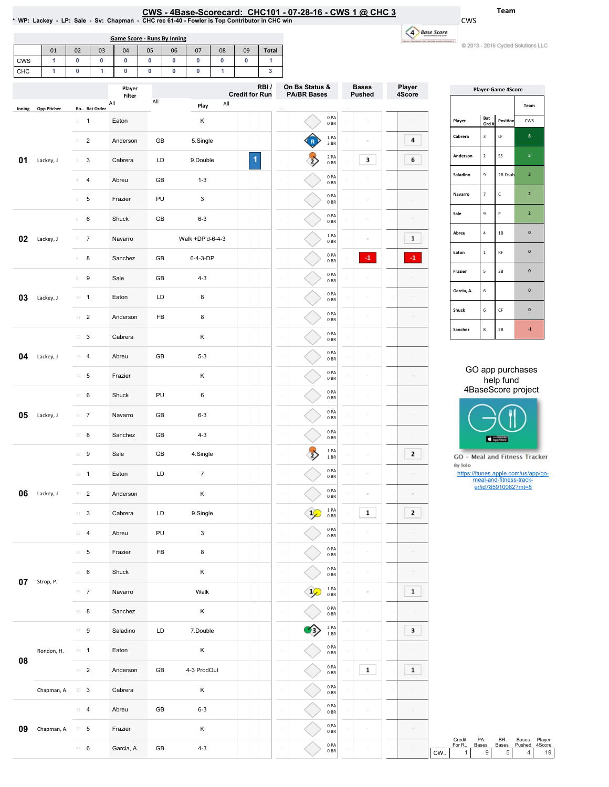| CWS - 4Base-Scorecard: CHC101 - 07-28-16 - CWS 1 @ CHC 3                                     |
|----------------------------------------------------------------------------------------------|
| * WP: Lackey - LP: Sale - Sv: Chapman - CHC rec 61-40 - Fowler is Top Contributor in CHC win |

1 2 3 0PA 0BR  $\frac{1 \text{ PA}}{3 \text{ BR}}$ 2PA 0BR

R

 $\rightarrow$ 

1 2 3

Bases Pushed

 $\sim$ 

 $\overline{\mathbf{3}}$ 

Ro..

Player 4Score

 $\,$  4  $\,$ 

 $\bf 6$ 

ı

4 Base Score .<br>In factors county u)

All Play All

Team

C 2013 - 2016 Cycled Solutions LLC

CWS

|            | Game Score - Runs By Inning |    |    |                  |       |    |    |    |                       |              |                                      |  |  |  |  |
|------------|-----------------------------|----|----|------------------|-------|----|----|----|-----------------------|--------------|--------------------------------------|--|--|--|--|
|            | 01                          | 02 | 03 | 04               | 05    | 06 | 07 | 08 | 09                    | <b>Total</b> |                                      |  |  |  |  |
| <b>CWS</b> |                             | 0  | 0  | 0                |       | 0  |    | 0  | 0                     |              |                                      |  |  |  |  |
| <b>CHC</b> |                             | O  |    | 0                |       | ٥  | Ω  |    |                       | ۰            |                                      |  |  |  |  |
|            |                             |    |    |                  |       |    |    |    |                       |              |                                      |  |  |  |  |
|            |                             |    |    | Player<br>Filter | $-11$ |    |    |    | <b>Credit for Run</b> | RBI/         | On Bs Status &<br><b>PA/BR Bases</b> |  |  |  |  |

1 1 Eaton K

All

2 2 Anderson GB 5.Single 3 3 Cabrera LD 9.Double

Inning Opp Pitcher Ro.. Bat Order

01 Lackey, J

|            |                | <b>Player-Game 4Score</b> |                |
|------------|----------------|---------------------------|----------------|
|            |                |                           | Team           |
| Player     | Bat<br>Ord #   | Position                  | <b>CWS</b>     |
| Cabrera    | 3              | LF                        | 8              |
| Anderson   | 2              | SS                        | 5              |
| Saladino   | 9              | 2B-Dsub                   | 3              |
| Navarro    | $\overline{7}$ | $\mathsf C$               | $\overline{2}$ |
| Sale       | 9              | P                         | $\overline{2}$ |
| Abreu      | 4              | 1B                        | $\mathbf{0}$   |
| Eaton      | $\mathbf{1}$   | <b>RF</b>                 | $\mathbf{0}$   |
| Frazier    | 5              | 3B                        | $\mathbf{0}$   |
| Garcia, A. | 6              |                           | $\mathbf{0}$   |
| Shuck      | 6              | CF                        | $\mathbf{0}$   |
| Sanchez    | 8              | 2B                        | $-1$           |

### ises help fund bject



|    |                  | 4           | 4          | Abreu      | GB       | $1 - 3$                   |               |                          | 0PA<br>0BR                           |              |              | Saladino                     | 9                        | 2B-Dsub                       | $\mathbf{3}$                             |
|----|------------------|-------------|------------|------------|----------|---------------------------|---------------|--------------------------|--------------------------------------|--------------|--------------|------------------------------|--------------------------|-------------------------------|------------------------------------------|
|    |                  | 5           | $\sqrt{5}$ | Frazier    | PU       | $\mathbf{3}$              |               |                          | 0PA<br>$0\;\mathrm{BR}$              | $\equiv$     | $\equiv$     | Navarro                      | $\overline{\phantom{a}}$ | $\mathsf{C}$                  | $\mathbf{2}$                             |
|    |                  | $\,$ 6 $\,$ | 6          | Shuck      | GB       | $6 - 3$                   |               |                          | 0PA<br>0B                            | $\sim$       | $\equiv$     | Sale                         | 9                        | $\mathsf{P}$                  | $\mathbf{2}$                             |
| 02 | Lackey, J        | $7-7$       |            | Navarro    |          | Walk +DP'd-6-4-3          |               |                          | 1 PA<br>$0\;\mathrm{BR}$             | $\sim$       | $\mathbf{1}$ | Abreu                        | $\sqrt{4}$               | $1\,\mathrm{B}$               | $\pmb{0}$                                |
|    |                  | $\,$ 8 $\,$ | 8          | Sanchez    | GB       | 6-4-3-DP                  |               |                          | 0PA<br>0BR                           | $\cdot 1$    | $\cdot 1$    | Eaton                        | $\,$ 1 $\,$              | RF                            | $\pmb{\mathsf{o}}$                       |
|    |                  | 9           | 9          | Sale       | GB       | $4 - 3$                   |               |                          | 0PA<br>0B                            | $\bar{a}$    |              | Frazier                      | ${\mathbf 5}$            | $3\mathsf{B}$                 | $\pmb{\mathsf{o}}$                       |
| 03 | Lackey, J        | $10 - 1$    |            | Eaton      | LD       | 8                         |               |                          | 0PA<br>0BR                           | $\equiv$     | $\equiv$     | Garcia, A.                   | $\sf 6$                  |                               | $\pmb{\mathsf{o}}$                       |
|    |                  | $11$ 2      |            | Anderson   | FB       | 8                         |               |                          | 0PA<br>0BR                           | $\equiv$     |              | Shuck                        | $\sf 6$                  | $\mathsf{CF}$                 | $\pmb{0}$                                |
|    |                  | $12 \t3$    |            | Cabrera    |          | Κ                         |               |                          | 0PA<br>$0\;\mathrm{BR}$              | $\equiv$     |              | Sanchez                      | 8                        | $2\mathsf{B}$                 | $\cdot 1$                                |
| 04 | Lackey, J        | 13 4        |            | Abreu      | GB       | $5 - 3$                   |               |                          | 0PA<br>0B                            | $\equiv$     | $\equiv$     |                              |                          |                               |                                          |
|    |                  | $14 - 5$    |            | Frazier    |          | К                         |               |                          | 0PA<br>$0\;\mathrm{BR}$              | $\sim$       |              |                              |                          | help fund                     | GO app purchases                         |
|    |                  | $15 \t 6$   |            | Shuck      | PU       | 6                         |               |                          | 0PA<br>$0\;\mathrm{BR}$              | $\equiv$     | $\equiv$     |                              |                          |                               | 4BaseScore project                       |
| 05 | Lackey, J        | $16$ 7      |            | Navarro    | GB       | $6 - 3$                   |               |                          | 0PA<br>0 <sub>BR</sub>               | $\equiv$     |              |                              |                          |                               |                                          |
|    | 17 8             |             | Sanchez    | GB         | $4 - 3$  |                           |               | 0PA<br>0BR               | $\equiv$                             | $\equiv$     |              |                              | App Store                |                               |                                          |
|    | 18 9             |             | Sale       | GB         | 4.Single |                           | $\frac{1}{2}$ | 1 PA<br>1 BR             | $\equiv$                             | 2            | By Iolo      |                              |                          | GO - Meal and Fitness Tracker |                                          |
|    |                  | $19 - 1$    |            | Eaton      | LD       | $\overline{7}$            |               |                          | 0PA<br>0B                            | $\bar{a}$    |              |                              |                          | meal-and-fitness-track-       | https://itunes.apple.com/us/app/go-      |
| 06 | Lackey, J        | $20 - 2$    |            | Anderson   |          | Κ                         |               |                          | 0PA<br>$0\;\mathrm{BR}$              | $\sim$       | $\equiv$     |                              |                          | er/id785910082?mt=8           |                                          |
|    |                  | $21 - 3$    |            | Cabrera    | LD       | 9.Single                  |               | $\overline{\mathcal{P}}$ | 1 PA<br>0BR                          | $\mathbf{1}$ | 2            |                              |                          |                               |                                          |
|    |                  | $22 - 4$    |            | Abreu      | PU       | $\ensuremath{\mathsf{3}}$ |               |                          | 0PA<br>$0\;\mathrm{BR}$              | $\equiv$     |              |                              |                          |                               |                                          |
|    |                  | $23 - 5$    |            | Frazier    | FB       | 8                         |               |                          | 0PA<br>0B                            | $\equiv$     |              |                              |                          |                               |                                          |
| 07 | Strop, P.        | 24 6        |            | Shuck      |          | Κ                         |               |                          | 0PA<br>$0\;\mathrm{BR}$              | $\equiv$     |              |                              |                          |                               |                                          |
|    |                  | $25 \t 7$   |            | Navarro    |          | Walk                      |               | $\overline{\mathcal{L}}$ | 1 PA<br>0BR                          | $\equiv$     | $\mathbf{1}$ |                              |                          |                               |                                          |
|    |                  | $26$ 8      |            | Sanchez    |          | Κ                         |               |                          | 0PA<br>0B                            | $\sim$       |              |                              |                          |                               |                                          |
|    |                  | $27 - 9$    |            | Saladino   | LD       | 7.Double                  |               | 3)                       | 2 PA<br>$1\,\mathrm{BR}$             |              | 3            |                              |                          |                               |                                          |
| 08 | Rondon, H.       | $28 - 1$    |            | Eaton      |          | Κ                         |               |                          | 0PA<br>$0\;\mathrm{BR}$              | $\equiv$     |              |                              |                          |                               |                                          |
|    |                  | $29 - 2$    |            | Anderson   | GB       | 4-3 ProdOut               |               |                          | 0PA<br>$0\;\mathrm{BR}$              | $\mathbf{1}$ | $\mathbf 1$  |                              |                          |                               |                                          |
|    | Chapman, A. 30 3 |             |            | Cabrera    |          | Κ                         |               |                          | 0PA<br>0B                            | $\equiv$     |              |                              |                          |                               |                                          |
|    |                  | $31 - 4$    |            | Abreu      | GB       | $6 - 3$                   |               |                          | 0PA<br>$0\;\ensuremath{\mathsf{BR}}$ | $\equiv$     | $\equiv$     |                              |                          |                               |                                          |
| 09 | Chapman, A.      | $32 - 5$    |            | Frazier    |          | Κ                         |               |                          | 0PA<br>0 <sub>BR</sub>               | $\equiv$     | $\equiv$     | Credit                       | PA                       | BR                            | Player<br>Bases                          |
|    |                  | 33 6        |            | Garcia, A. | GB       | $4 - 3$                   |               |                          | 0 PA<br>$0\;\mathrm{BR}$             | $\equiv$     |              | For R<br>CW.<br>$\mathbf{1}$ | Bases<br>9               | Bases<br>$\,$ 5 $\,$          | Pushed<br>4Score<br>$\overline{4}$<br>19 |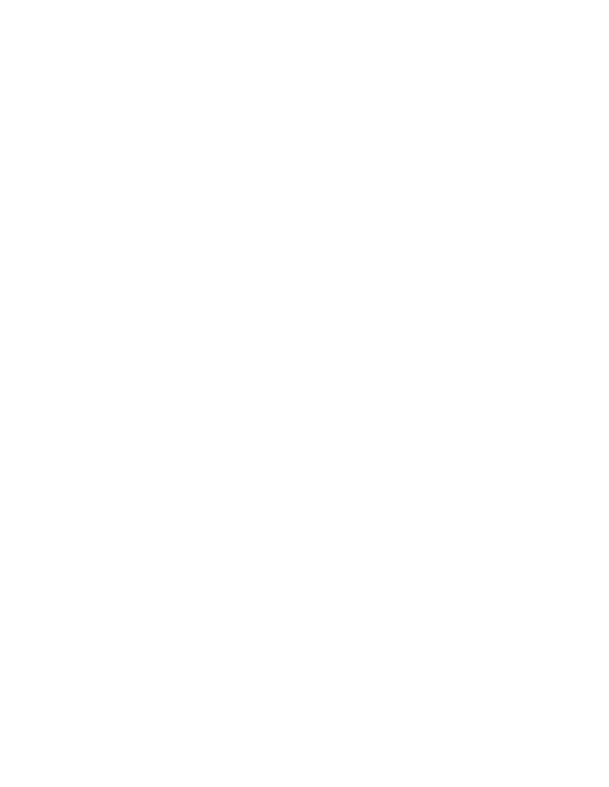|                       |                      | ' u ^ } Œr Zuv• C/vv]vP |                      |                                             |                         |                                                                             |                  |                |                                                                                           |                                        |                                                      |  |  |
|-----------------------|----------------------|-------------------------|----------------------|---------------------------------------------|-------------------------|-----------------------------------------------------------------------------|------------------|----------------|-------------------------------------------------------------------------------------------|----------------------------------------|------------------------------------------------------|--|--|
| ìí<br>8:6             | ìî                   | ìï<br>ìð                | ìñ<br>ìò             | ìó                                          | ìô<br>ìõ                | d}šo                                                                        |                  |                |                                                                                           |                                        |                                                      |  |  |
| $8 + 8$               |                      |                         |                      |                                             |                         |                                                                             |                  |                |                                                                                           |                                        |                                                      |  |  |
|                       |                      | Wo Ç Œ<br>&]oš Œ        |                      |                                             | $5\%$<br>& UHGLWIRU5 XQ | 2 Q%V 6 VDWXV<br>3\$ %5 %DVHV                                               | %DVHV<br>3 XVKHG | 30 NU<br>6FRUH |                                                                                           | WoÇŒ u ð^}Œ                            |                                                      |  |  |
| /vv]vP K‰W)\$Z0E      | Z}XX ŠKOE C          | $\pmb{\circledcirc}$    | $\pmb{\circledcirc}$ | WoÇ                                         | $\pmb{\circledcirc}$    |                                                                             |                  |                |                                                                                           |                                        | d u                                                  |  |  |
|                       | í.                   | (DARQ                   |                      | $\mathbf{r}$ .                              |                         | $\begin{array}{c} \text{i} \ \text{W} \\ \text{i} \ \ \text{Z} \end{array}$ |                  |                | Wo Ç Œ                                                                                    | š<br>KŒ<br>۷ <b>y•</b> ]Ÿ}             | $t^{\Lambda}$                                        |  |  |
|                       | î                    | \$ QGHURQ               | $*$ %                | $61QJ$ $\Theta$                             |                         | í W<br>$i$ Z                                                                |                  |                | ŒŒ                                                                                        | $\ddot{\rm I}$<br>$\mathcal{S}_\kappa$ | ô                                                    |  |  |
| $>$   $Q$ J           | $\top$               | & DEUHLD                | $\prime$ .           | ' RXE®                                      |                         | îW<br>$i$ Z                                                                 |                  |                | $v$ $\circledast$ $v$                                                                     | $\mathsf{M}$<br>î                      | ñ                                                    |  |  |
|                       | ð                    | \$EUHX                  | $*$ %                |                                             |                         | i W<br>$i \, z$                                                             |                  |                | $^{\wedge}$ 0 $]v\}$                                                                      | õ<br>$\hat{I}$ $\uparrow$ $\uparrow$   | $\Gamma$                                             |  |  |
|                       | ñ                    | ) UDJ IHU               | 38                   |                                             |                         | i W<br>$i$ Z                                                                |                  |                | EÀOE                                                                                      | ó                                      | î                                                    |  |  |
|                       | ò                    | 6KXFN                   | $*$ %                |                                             |                         | i W<br>$i$ Z                                                                |                  |                | $^{\wedge}$ 0                                                                             | $\tilde{\mathbf{o}}$<br>${\sf W}$      | $\hat{I}$                                            |  |  |
| $>$   $Q$ J           | ó                    | 1 DYDUR                 |                      | : DON '3G                                   |                         | í W<br>ì Z                                                                  |                  |                | Œμ                                                                                        | ð<br>$\mathbf{i}$                      | ì                                                    |  |  |
|                       | ô                    | 6DQFKH                  | $*$ %                | $^{\prime}$ 3                               |                         | i W<br>$i$ Z                                                                |                  |                | š} v                                                                                      | $\mathbf{r}$<br>Z&                     | ì                                                    |  |  |
|                       | $\tilde{\mathrm{o}}$ | 6DOH                    | $*$ %                |                                             |                         | i W<br>$i \, z$                                                             |                  |                | &OB]OE                                                                                    | $\tilde{\mathsf{n}}$<br>$\ddot{\rm I}$ | ì                                                    |  |  |
| $>$   $Q$ J           | $\Box$               | (DARQ                   | $\prime$ .           |                                             |                         | i W<br>$i$ Z                                                                |                  |                | $\overline{G}$ $\overline{G}$ $\overline{G}$ $\overline{G}$ $\overline{G}$ $\overline{G}$ | ò                                      | ì                                                    |  |  |
|                       | íí.                  | \$QGHURQ                | ) %                  |                                             |                         | i W<br>$i \, z$                                                             |                  |                | $\lambda Z\mu$                                                                            | ò<br>&                                 | ì                                                    |  |  |
|                       | íî                   | & DEUHLD                |                      | $\blacksquare$                              |                         | i W<br>$i$ Z                                                                |                  |                | ^ v Z Ì                                                                                   | ô<br>$\hat{I}$                         | rí                                                   |  |  |
| $>$   $\alpha$        | íï                   | \$EUHX                  | $*$ %                |                                             |                         | i W<br>$i$ Z                                                                |                  |                |                                                                                           |                                        |                                                      |  |  |
|                       | íð                   | $)$ UDJ IHU             |                      | ¥.                                          |                         | i W<br>ì Z                                                                  |                  |                | * 2 DSS SXUFKDVHV<br>KHOS IXOG                                                            |                                        |                                                      |  |  |
|                       | íñ                   | 6KXFN                   | 38                   |                                             |                         | i W<br>$i$ Z                                                                |                  |                | <b>YDVH6 FRUH SURWIFW</b>                                                                 |                                        |                                                      |  |  |
| $>$   $Q$ J           | íò                   | 1 DYDUR                 | $*$ %                |                                             |                         | i W<br>$i$ Z                                                                |                  |                |                                                                                           |                                        |                                                      |  |  |
|                       | íó                   | 6DQFKH                  | $*$ %                |                                             |                         | ìW<br>$i$ Z                                                                 |                  |                |                                                                                           |                                        |                                                      |  |  |
|                       | íô                   | 6DOH                    | $*$ %                | $61QJ$ $\Theta$                             |                         | í W<br>$i$ Z                                                                |                  |                |                                                                                           |                                        |                                                      |  |  |
|                       | íõ                   | $($ DMQ                 | $\mathcal{F}^*$      |                                             |                         | i W<br>i Z                                                                  |                  |                |                                                                                           |                                        | KWOSV LWACH VDSSORFRP XVDSSJR<br>PHDCOGG LLWAH VWDFN |  |  |
| $>$ 1 $\alpha$        | $-11$                | \$ QGHURQ               |                      | $\sim$                                      |                         | i W<br>$i$ Z                                                                |                  |                |                                                                                           | HUB                                    | "PW                                                  |  |  |
|                       | îí                   | & DEUHUD                | $\prime$ .           | $61QJ$ OH                                   |                         | i W<br>ì Z                                                                  |                  |                |                                                                                           |                                        |                                                      |  |  |
|                       | îî                   | \$EUHX                  | 38                   |                                             |                         | i W<br>$i$ Z                                                                |                  |                |                                                                                           |                                        |                                                      |  |  |
|                       | $\mathbf{11}$        | ) UD] LHU               | ) %                  |                                             |                         | i W<br>$i$ Z                                                                |                  |                |                                                                                           |                                        |                                                      |  |  |
|                       | îŏ                   | 6KXFN                   |                      | $\sim$                                      |                         | ì W<br>$i$ Z                                                                |                  |                |                                                                                           |                                        |                                                      |  |  |
| ^šQP%WX               | îñ                   | 1 DYDUR                 |                      | $:$ DON                                     |                         | i W<br>$i$ Z                                                                |                  |                |                                                                                           |                                        |                                                      |  |  |
|                       | îò                   | 6DQFKH                  |                      | $\sim 100$                                  |                         | i W<br>ì Z                                                                  |                  |                |                                                                                           |                                        |                                                      |  |  |
|                       | îó                   | 6DDDGLQR                | $\prime$ .           | ' RXE®                                      |                         | îW<br>$i$ $z$                                                               |                  |                |                                                                                           |                                        |                                                      |  |  |
| Z y } v U X i ô       |                      | (DARQ                   |                      | $\mathbf{r} = \mathbf{r} \times \mathbf{r}$ |                         | i W<br>ì Z                                                                  |                  |                |                                                                                           |                                        |                                                      |  |  |
| $\hat{I}$ $\tilde{O}$ |                      | \$QGHURQ                | $*$ %                | 3 URG2 XW                                   |                         | i W<br>$i$ Z                                                                |                  |                |                                                                                           |                                        |                                                      |  |  |
| Z‰ vUX ii             |                      | & DEUHUD                |                      | $\sim$                                      |                         | ì W<br>$i$ Z                                                                |                  |                |                                                                                           |                                        |                                                      |  |  |
|                       | $-11$                | \$EUHX                  | $*$ %                |                                             |                         | i W<br>$i$ Z                                                                |                  |                |                                                                                           |                                        |                                                      |  |  |
| Z ‰ vU X              |                      | ) UD] LHU               |                      | $\sim$                                      |                         | i W<br>$i$ Z                                                                |                  |                |                                                                                           |                                        |                                                      |  |  |
|                       | $-11$                | $^\star$ DUFID $\$$     | $*$ %                |                                             |                         | ì W<br>$i$ Z                                                                |                  |                | &UHGLW 3\$<br>) RU5<br>&:                                                                 | %5<br>%DVHV<br>%DVHV                   | %DMHV 30MHU<br>3XWHG 6FRUH                           |  |  |
|                       |                      |                         |                      |                                             |                         |                                                                             |                  |                |                                                                                           |                                        |                                                      |  |  |

: 3 / DFNH / 3 6DDH 6Y & KDSPDQ  $\frac{8:6}{8+8.0 \text{J}}$  / DZOBULY 7RS & ROMEX/MRULQ & + & ZLQ

 $\begin{array}{c|c}\n\hline\n\end{array}$  t ^ d u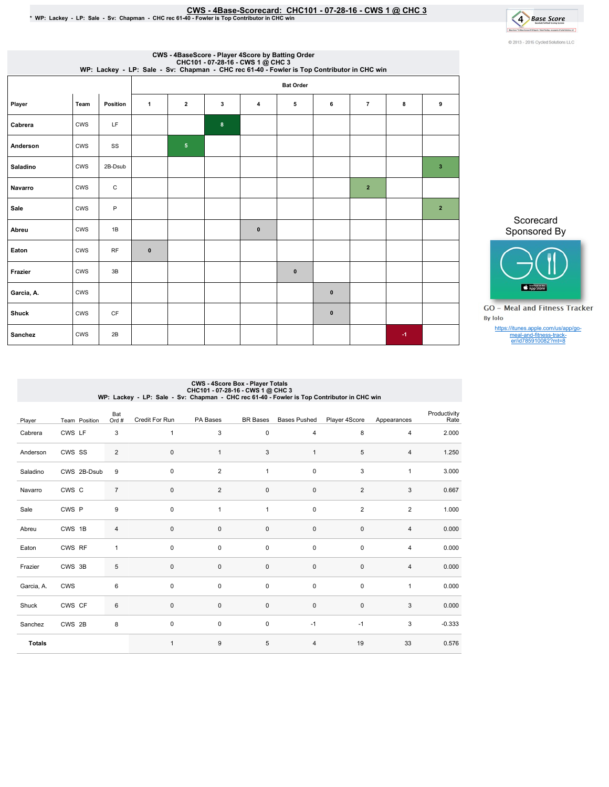## CWS-4Base-Scorecard:CHC101-07-28-16-CWS1@ CHC3 \*WP:Lackey-LP:Sale-Sv:Chapman-CHCrec61-40-FowlerisTopContributorinCHCwin



|              | CWS - 4BaseScore - Player 4Score by Batting Order<br>CHC101 - 07-28-16 - CWS 1 @ CHC 3<br>WP: Lackey - LP: Sale - Sv: Chapman - CHC rec 61-40 - Fowler is Top Contributor in CHC win |             |              |                |   |                |                  |           |                |      |                |  |  |  |
|--------------|--------------------------------------------------------------------------------------------------------------------------------------------------------------------------------------|-------------|--------------|----------------|---|----------------|------------------|-----------|----------------|------|----------------|--|--|--|
|              |                                                                                                                                                                                      |             |              |                |   |                | <b>Bat Order</b> |           |                |      |                |  |  |  |
| Player       | Team                                                                                                                                                                                 | Position    | $\mathbf{1}$ | $\overline{2}$ | 3 | $\overline{4}$ | 5                | 6         | $\overline{7}$ | 8    | 9              |  |  |  |
| Cabrera      | <b>CWS</b>                                                                                                                                                                           | LF          |              |                | 8 |                |                  |           |                |      |                |  |  |  |
| Anderson     | <b>CWS</b>                                                                                                                                                                           | SS          |              | 5 <sup>5</sup> |   |                |                  |           |                |      |                |  |  |  |
| Saladino     | <b>CWS</b>                                                                                                                                                                           | 2B-Dsub     |              |                |   |                |                  |           |                |      | $\mathbf{3}$   |  |  |  |
| Navarro      | <b>CWS</b>                                                                                                                                                                           | $\mathsf C$ |              |                |   |                |                  |           | $\overline{2}$ |      |                |  |  |  |
| Sale         | <b>CWS</b>                                                                                                                                                                           | P           |              |                |   |                |                  |           |                |      | $\overline{2}$ |  |  |  |
| Abreu        | CWS                                                                                                                                                                                  | 1B          |              |                |   | $\pmb{0}$      |                  |           |                |      |                |  |  |  |
| Eaton        | <b>CWS</b>                                                                                                                                                                           | <b>RF</b>   | $\mathbf{0}$ |                |   |                |                  |           |                |      |                |  |  |  |
| Frazier      | <b>CWS</b>                                                                                                                                                                           | 3B          |              |                |   |                | $\mathbf{0}$     |           |                |      |                |  |  |  |
| Garcia, A.   | <b>CWS</b>                                                                                                                                                                           |             |              |                |   |                |                  | $\pmb{0}$ |                |      |                |  |  |  |
| <b>Shuck</b> | <b>CWS</b>                                                                                                                                                                           | <b>CF</b>   |              |                |   |                |                  | $\bf{0}$  |                |      |                |  |  |  |
| Sanchez      | <b>CWS</b>                                                                                                                                                                           | 2B          |              |                |   |                |                  |           |                | $-1$ |                |  |  |  |

Scorecard Sponsored By



**GO** - Meal and Fitness Tracker By Iolo

https://itunes.apple.com/us/app/go-meal-and-fitness-track-er/id785910082?mt=8

# CWS - 4Score Box - Player Totals<br>CHC101 - 07-28-16 - CHC101<br>WP: Lackey - LP: Sale - Sv: Chapman - CHC rec 61-40 - Fowler is Top Contributor in CHC win

| Player        | Team Position | Bat<br>Ord #   | Credit For Run | PA Bases     | <b>BR</b> Bases | <b>Bases Pushed</b> | Player 4Score  | Appearances    | Productivity<br>Rate |
|---------------|---------------|----------------|----------------|--------------|-----------------|---------------------|----------------|----------------|----------------------|
| Cabrera       | CWS LF        | 3              | $\mathbf{1}$   | 3            | $\mathsf 0$     | $\overline{4}$      | 8              | $\overline{4}$ | 2.000                |
| Anderson      | CWS SS        | $\overline{2}$ | $\mathbf 0$    | $\mathbf{1}$ | 3               | $\mathbf{1}$        | 5              | $\sqrt{4}$     | 1.250                |
| Saladino      | CWS 2B-Dsub   | 9              | $\pmb{0}$      | 2            | $\mathbf{1}$    | $\pmb{0}$           | 3              | $\mathbf{1}$   | 3.000                |
| Navarro       | CWS C         | $\overline{7}$ | 0              | 2            | $\mathsf 0$     | $\pmb{0}$           | $\overline{2}$ | 3              | 0.667                |
| Sale          | CWS P         | 9              | 0              | $\mathbf{1}$ | $\mathbf{1}$    | $\pmb{0}$           | $\overline{2}$ | $\overline{2}$ | 1.000                |
| Abreu         | CWS 1B        | $\overline{4}$ | 0              | 0            | 0               | $\pmb{0}$           | $\mathbf 0$    | 4              | 0.000                |
| Eaton         | CWS RF        | $\mathbf{1}$   | 0              | 0            | 0               | $\pmb{0}$           | $\pmb{0}$      | $\overline{4}$ | 0.000                |
| Frazier       | CWS 3B        | $\sqrt{5}$     | 0              | $\pmb{0}$    | $\pmb{0}$       | $\pmb{0}$           | $\pmb{0}$      | $\sqrt{4}$     | 0.000                |
| Garcia, A.    | CWS           | 6              | 0              | 0            | $\pmb{0}$       | $\pmb{0}$           | $\pmb{0}$      | $\mathbf{1}$   | 0.000                |
| Shuck         | CWS CF        | $\,6$          | 0              | $\pmb{0}$    | $\pmb{0}$       | $\pmb{0}$           | $\pmb{0}$      | 3              | 0.000                |
| Sanchez       | CWS 2B        | 8              | 0              | $\pmb{0}$    | 0               | $-1$                | $-1$           | 3              | $-0.333$             |
| <b>Totals</b> |               |                | $\mathbf{1}$   | 9            | 5               | $\overline{4}$      | 19             | 33             | 0.576                |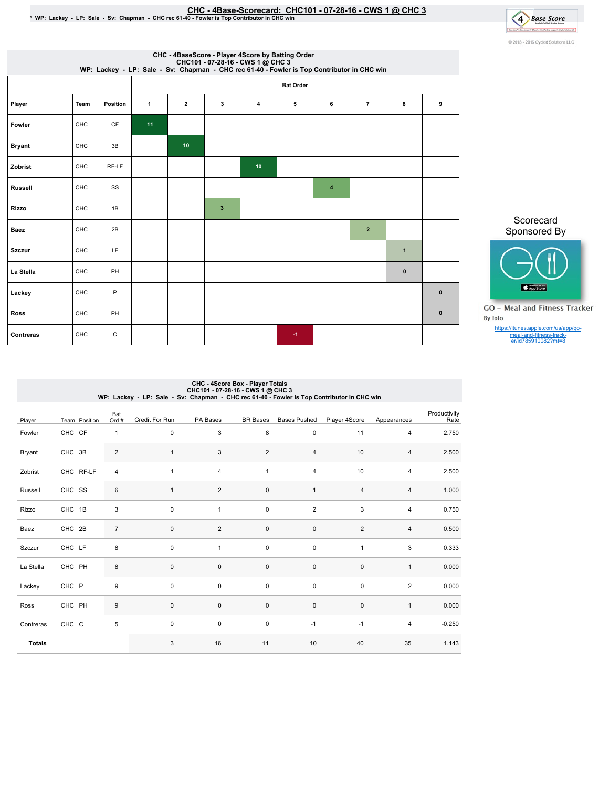## CHC-4Base-Scorecard:CHC101-07-28-16-CWS1@ CHC3 \*WP:Lackey-LP:Sale-Sv:Chapman-CHCrec61-40-FowlerisTopContributorinCHCwin



|                | CHC - 4BaseScore - Player 4Score by Batting Order<br>CHC101 - 07-28-16 - CWS 1 @ CHC 3<br>WP: Lackey - LP: Sale - Sv: Chapman - CHC rec 61-40 - Fowler is Top Contributor in CHC win |                 |              |                  |                         |                     |      |                  |                |              |           |  |  |  |
|----------------|--------------------------------------------------------------------------------------------------------------------------------------------------------------------------------------|-----------------|--------------|------------------|-------------------------|---------------------|------|------------------|----------------|--------------|-----------|--|--|--|
|                |                                                                                                                                                                                      |                 |              | <b>Bat Order</b> |                         |                     |      |                  |                |              |           |  |  |  |
| Player         | Team                                                                                                                                                                                 | <b>Position</b> | $\mathbf{1}$ | $\overline{2}$   | 3                       | $\overline{\bf{4}}$ | 5    | 6                | $\overline{7}$ | 8            | 9         |  |  |  |
| Fowler         | CHC                                                                                                                                                                                  | <b>CF</b>       | 11           |                  |                         |                     |      |                  |                |              |           |  |  |  |
| <b>Bryant</b>  | CHC                                                                                                                                                                                  | 3B              |              | 10               |                         |                     |      |                  |                |              |           |  |  |  |
| Zobrist        | CHC                                                                                                                                                                                  | RF-LF           |              |                  |                         | 10 <sup>°</sup>     |      |                  |                |              |           |  |  |  |
| <b>Russell</b> | CHC                                                                                                                                                                                  | SS              |              |                  |                         |                     |      | $\boldsymbol{4}$ |                |              |           |  |  |  |
| Rizzo          | CHC                                                                                                                                                                                  | 1B              |              |                  | $\overline{\mathbf{3}}$ |                     |      |                  |                |              |           |  |  |  |
| Baez           | CHC                                                                                                                                                                                  | 2B              |              |                  |                         |                     |      |                  | $\mathbf{2}$   |              |           |  |  |  |
| <b>Szczur</b>  | CHC                                                                                                                                                                                  | LF              |              |                  |                         |                     |      |                  |                | $\mathbf{1}$ |           |  |  |  |
| La Stella      | CHC                                                                                                                                                                                  | PH              |              |                  |                         |                     |      |                  |                | $\pmb{0}$    |           |  |  |  |
| Lackey         | CHC                                                                                                                                                                                  | P               |              |                  |                         |                     |      |                  |                |              | 0         |  |  |  |
| <b>Ross</b>    | CHC                                                                                                                                                                                  | PH              |              |                  |                         |                     |      |                  |                |              | $\pmb{0}$ |  |  |  |
| Contreras      | CHC                                                                                                                                                                                  | $\mathsf C$     |              |                  |                         |                     | $-1$ |                  |                |              |           |  |  |  |

# CHC - 4Score Box - Player Totals<br>CHC101 - 07-28-16 - CHC101<br>WP: Lackey - LP: Sale - Sv: Chapman - CHC rec 61-40 - Fowler is Top Contributor in CHC win

| Player        | Team Position | Bat<br>Ord #     | Credit For Run | PA Bases     | <b>BR</b> Bases | <b>Bases Pushed</b> | Player 4Score  | Appearances    | Productivity<br>Rate |
|---------------|---------------|------------------|----------------|--------------|-----------------|---------------------|----------------|----------------|----------------------|
| Fowler        | CHC CF        | $\mathbf{1}$     | $\mathbf 0$    | 3            | 8               | $\pmb{0}$           | 11             | $\overline{4}$ | 2.750                |
| Bryant        | CHC 3B        | $\overline{2}$   | $\mathbf{1}$   | 3            | $\overline{2}$  | $\overline{4}$      | 10             | $\overline{4}$ | 2.500                |
| Zobrist       | CHC RF-LF     | $\overline{4}$   | $\mathbf{1}$   | 4            | $\mathbf{1}$    | $\overline{4}$      | 10             | 4              | 2.500                |
| Russell       | CHC SS        | $\,6\,$          | $\mathbf{1}$   | 2            | $\pmb{0}$       | $\mathbf{1}$        | 4              | $\overline{4}$ | 1.000                |
| Rizzo         | CHC 1B        | $\sqrt{3}$       | $\mathbf 0$    | 1            | 0               | $\overline{2}$      | 3              | 4              | 0.750                |
| Baez          | CHC 2B        | $\overline{7}$   | 0              | 2            | $\mathsf 0$     | $\pmb{0}$           | $\overline{2}$ | $\overline{4}$ | 0.500                |
| Szczur        | CHC LF        | 8                | 0              | $\mathbf{1}$ | $\pmb{0}$       | $\pmb{0}$           | $\mathbf{1}$   | 3              | 0.333                |
| La Stella     | CHC PH        | $\bf 8$          | 0              | $\pmb{0}$    | 0               | $\pmb{0}$           | $\pmb{0}$      | $\mathbf{1}$   | 0.000                |
| Lackey        | CHC P         | $\boldsymbol{9}$ | 0              | 0            | $\pmb{0}$       | $\pmb{0}$           | $\pmb{0}$      | $\overline{2}$ | 0.000                |
| Ross          | CHC PH        | $\boldsymbol{9}$ | 0              | $\pmb{0}$    | $\pmb{0}$       | $\pmb{0}$           | $\pmb{0}$      | $\mathbf{1}$   | 0.000                |
| Contreras     | CHC C         | $\sqrt{5}$       | 0              | $\pmb{0}$    | $\pmb{0}$       | $-1$                | $-1$           | $\overline{4}$ | $-0.250$             |
| <b>Totals</b> |               |                  | 3              | 16           | 11              | 10                  | 40             | 35             | 1.143                |

Scorecard Sponsored By



**GO** - Meal and Fitness Tracker By Iolo

https://itunes.apple.com/us/app/go-meal-and-fitness-track-er/id785910082?mt=8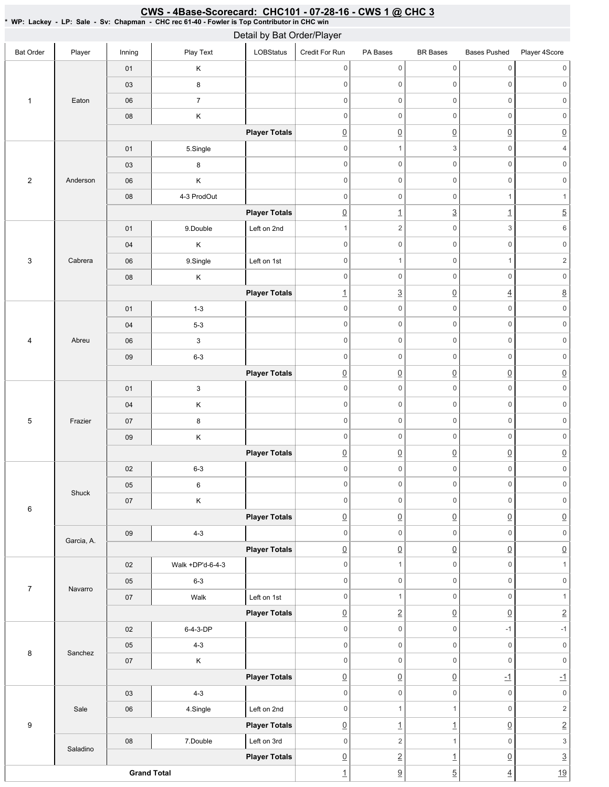#### Bat Order | Player | Inning | PlayText | LOBStatus Credit For Run PA Bases BR Bases Bases Pushed Player 4Score 1 Eaton 01 K 03 8 06 7 08 K **Player Totals** 2 Anderson 01 | 5.Single 03 8 06 K 08 | 4-3 ProdOut **Player Totals** 3 Cabrera 01 9.Double Left on 2nd 04 K 06 | 9.Single | Left on 1st 08 K **Player Totals** 4 Abreu 01 1-3 04 5-3 06 3 09 6-3 **Player Totals** 5 Frazier 01 3 04 K 07 8 09 K **Player Totals** 6 Shuck 02 6-3 05 6 07 K **Player Totals** Garcia,A. 09 4-3 **Player Totals** 7 Navarro 02 Walk +DP'd-6-4-3 05 6-3 07 | Walk Left on 1st **Player Totals** 8 Sanchez 02 6-4-3-DP 05 4-3 07 K **Player Totals** 9 Sale 03 4-3 06 | 4.Single | Left on 2nd **Player Totals** Saladino 08 | 7.Double | Left on 3rd **Player Totals Grand Total** 0 0 0 0 0 0 0 0 0 0 0 0 0 0 0 0 0 0 0 0 0 0 0 0  $\overline{0}$   $\overline{0}$   $\overline{0}$   $\overline{0}$   $\overline{0}$   $\overline{0}$   $\overline{0}$ 0 1 3 0 4 0 0 0 0 0 0 0 0 0 0 0 0  $0 \qquad 0 \qquad 0 \qquad 1 \qquad 1$  $\boxed{0}$  1  $\boxed{3}$  1  $\boxed{1}$ 1 2 0 3 6 0 0 0 0 0 0 0 1 0 1 2 0 0 0 0 0 0 1 3 0 4 8 0 0 0 0 0 0 0 0 0 0 0 0 0 0 0 0 0 0 0 0 0 0 0 0  $\overline{0}$   $\overline{0}$   $\overline{0}$   $\overline{0}$   $\overline{0}$   $\overline{0}$   $\overline{0}$ 0 0 0 0 0 0 0 0 0 0 0 0 0 0 0 0 0 0 0 0 0 0 0 0  $\begin{array}{c|c|c|c|c|c} \hline \Omega & \Omega & \Omega & \Omega \end{array} \hspace{1.5cm} \begin{array}{c|c|c} \hline \Omega & \Omega & \Omega \end{array} \hspace{1.5cm} \begin{array}{c|c|c} \hline \Omega & \Omega & \Omega \end{array} \end{array}$ 0 0 0 0 0 0 0 0 0 0 0 0 0 0 0 0 0 0  $\overline{0}$   $\overline{0}$   $\overline{0}$   $\overline{0}$   $\overline{0}$   $\overline{0}$   $\overline{0}$ 0 0 0 0 0 0 0 0 0 0 0 0 0 1 0 1 0 0 0 0 0 0 0 0 0 1 0 2 0 0 2 0 0 -1 -1 0 0 0 0 0 0 0 0 0 0 0 0  $\boxed{0}$   $\boxed{0}$   $\boxed{1}$   $\boxed{-1}$ 0 0 0 0 0 0 0 1 1 0 2 0 1 1 0 2 0 2 1 0 3 0 2 1 0 3  $\frac{1}{1}$  9 5 4 19 Detail by Bat Order/Player

### <u>CWS - 4Base-Scorecard: CHC101 - 07-28-16 - CWS 1 @ CHC 3</u>

\*WP:Lackey-LP:Sale-Sv:Chapman-CHCrec61-40-FowlerisTopContributorinCHCwin